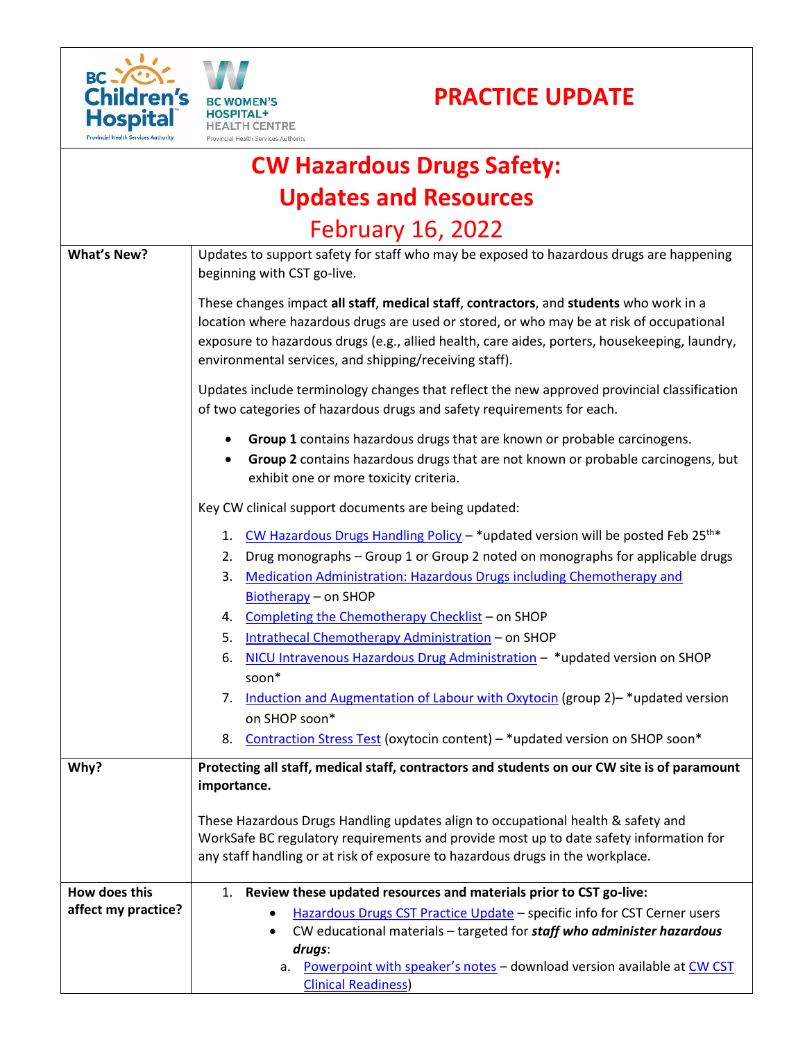





|                    | Provincial Health Services Audiofic                                                                                                                                                |
|--------------------|------------------------------------------------------------------------------------------------------------------------------------------------------------------------------------|
|                    | <b>CW Hazardous Drugs Safety:</b>                                                                                                                                                  |
|                    | <b>Updates and Resources</b>                                                                                                                                                       |
|                    | <b>February 16, 2022</b>                                                                                                                                                           |
| <b>What's New?</b> | Updates to support safety for staff who may be exposed to hazardous drugs are happening<br>beginning with CST go-live.                                                             |
|                    | These changes impact all staff, medical staff, contractors, and students who work in a<br>location where hazardous drugs are used or stored, or who may be at risk of occupational |

exposure to hazardous drugs (e.g., allied health, care aides, porters, housekeeping, laundry, environmental services, and shipping/receiving staff). Updates include terminology changes that reflect the new approved provincial classification

**Group 1** contains hazardous drugs that are known or probable carcinogens.

of two categories of hazardous drugs and safety requirements for each.

 **Group 2** contains hazardous drugs that are not known or probable carcinogens, but exhibit one or more toxicity criteria.

Key CW clinical support documents are being updated:

|  |  |  |  | 1. CW Hazardous Drugs Handling Policy - * updated version will be posted Feb 25 <sup>th*</sup> |
|--|--|--|--|------------------------------------------------------------------------------------------------|
|--|--|--|--|------------------------------------------------------------------------------------------------|

- 2. Drug monographs Group 1 or Group 2 noted on monographs for applicable drugs
- 3. [Medication Administration: Hazardous Drugs including Chemotherapy and](http://shop.healthcarebc.ca/phsa/BCWH_2/Pharmacy,%20Therapeutics%20and%20Nutrition/C-05-12-61183.pdf)  [Biotherapy](http://shop.healthcarebc.ca/phsa/BCWH_2/Pharmacy,%20Therapeutics%20and%20Nutrition/C-05-12-61183.pdf) – on SHOP
- 4. [Completing the Chemotherapy Checklist](http://shop.healthcarebc.ca/phsa/BCWH_2/Pharmacy,%20Therapeutics%20and%20Nutrition/C-05-12-61184.pdf) on SHOP
- 5. [Intrathecal Chemotherapy Administration](http://shop.healthcarebc.ca/phsa/BCWH_2/Pharmacy,%20Therapeutics%20and%20Nutrition/C-05-12-61182.pdf) on SHOP
- 6. [NICU Intravenous Hazardous Drug Administration](http://shop.healthcarebc.ca/phsa/BCWH_2/BC%20Women) \*updated version on SHOP soon\*
- 7. [Induction and Augmentation of Labour with Oxytocin](http://shop.healthcarebc.ca/phsa/BCWH_2/BC%20Women) (group 2)–\*updated version on SHOP soon\*
- 8. [Contraction Stress Test](http://shop.healthcarebc.ca/phsa/BCWH_2/BC%20Women) (oxytocin content) \*updated version on SHOP soon\*

**Why? Protecting all staff, medical staff, contractors and students on our CW site is of paramount importance.** 

> These Hazardous Drugs Handling updates align to occupational health & safety and WorkSafe BC regulatory requirements and provide most up to date safety information for any staff handling or at risk of exposure to hazardous drugs in the workplace.

| How does this       | 1. Review these updated resources and materials prior to CST go-live:        |
|---------------------|------------------------------------------------------------------------------|
| affect my practice? | Hazardous Drugs CST Practice Update – specific info for CST Cerner users     |
|                     | • CW educational materials – targeted for staff who administer hazardous     |
|                     | drugs:                                                                       |
|                     | Powerpoint with speaker's notes - download version available at CW CST<br>a. |
|                     | <b>Clinical Readiness)</b>                                                   |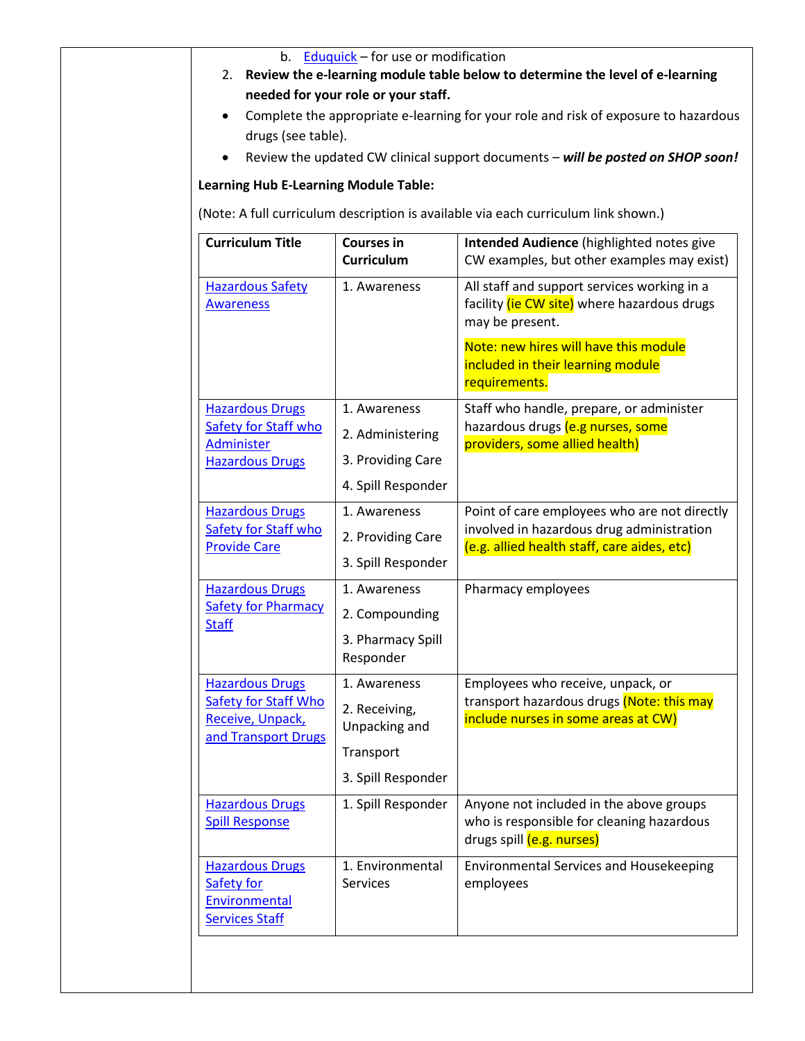| drugs (see table).                                                                               |                                                                                   | Complete the appropriate e-learning for your role and risk of exposure to hazardous<br>Review the updated CW clinical support documents - will be posted on SHOP soon! |
|--------------------------------------------------------------------------------------------------|-----------------------------------------------------------------------------------|------------------------------------------------------------------------------------------------------------------------------------------------------------------------|
| <b>Learning Hub E-Learning Module Table:</b>                                                     |                                                                                   |                                                                                                                                                                        |
|                                                                                                  |                                                                                   | (Note: A full curriculum description is available via each curriculum link shown.)                                                                                     |
| <b>Curriculum Title</b>                                                                          | <b>Courses in</b><br><b>Curriculum</b>                                            | Intended Audience (highlighted notes give<br>CW examples, but other examples may exist)                                                                                |
| <b>Hazardous Safety</b><br><b>Awareness</b>                                                      | 1. Awareness                                                                      | All staff and support services working in a<br>facility (ie CW site) where hazardous drugs<br>may be present.                                                          |
|                                                                                                  |                                                                                   | Note: new hires will have this module<br>included in their learning module<br>requirements.                                                                            |
| <b>Hazardous Drugs</b><br>Safety for Staff who<br>Administer                                     | 1. Awareness<br>2. Administering                                                  | Staff who handle, prepare, or administer<br>hazardous drugs (e.g nurses, some<br>providers, some allied health)                                                        |
| <b>Hazardous Drugs</b>                                                                           | 3. Providing Care<br>4. Spill Responder                                           |                                                                                                                                                                        |
| <b>Hazardous Drugs</b><br><b>Safety for Staff who</b><br><b>Provide Care</b>                     | 1. Awareness<br>2. Providing Care<br>3. Spill Responder                           | Point of care employees who are not directly<br>involved in hazardous drug administration<br>(e.g. allied health staff, care aides, etc)                               |
| <b>Hazardous Drugs</b><br><b>Safety for Pharmacy</b><br><b>Staff</b>                             | 1. Awareness<br>2. Compounding<br>3. Pharmacy Spill<br>Responder                  | Pharmacy employees                                                                                                                                                     |
| <b>Hazardous Drugs</b><br><b>Safety for Staff Who</b><br>Receive, Unpack,<br>and Transport Drugs | 1. Awareness<br>2. Receiving,<br>Unpacking and<br>Transport<br>3. Spill Responder | Employees who receive, unpack, or<br>transport hazardous drugs (Note: this may<br>include nurses in some areas at CW)                                                  |
| <b>Hazardous Drugs</b><br><b>Spill Response</b>                                                  | 1. Spill Responder                                                                | Anyone not included in the above groups<br>who is responsible for cleaning hazardous<br>drugs spill (e.g. nurses)                                                      |
| <b>Hazardous Drugs</b><br>Safety for<br>Environmental<br><b>Services Staff</b>                   | 1. Environmental<br><b>Services</b>                                               | <b>Environmental Services and Housekeeping</b><br>employees                                                                                                            |